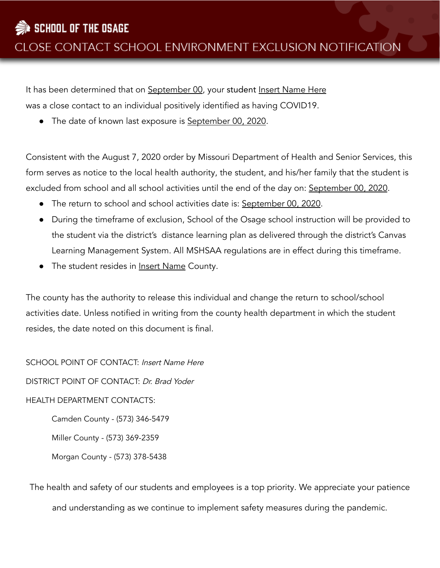It has been determined that on September 00, your student Insert Name Here was a close contact to an individual positively identified as having COVID19.

• The date of known last exposure is September 00, 2020.

Consistent with the August 7, 2020 order by Missouri Department of Health and Senior Services, this form serves as notice to the local health authority, the student, and his/her family that the student is excluded from school and all school activities until the end of the day on: September 00, 2020.

- The return to school and school activities date is: September 00, 2020.
- During the timeframe of exclusion, School of the Osage school instruction will be provided to the student via the district's distance learning plan as delivered through the district's Canvas Learning Management System. All MSHSAA regulations are in effect during this timeframe.
- The student resides in Insert Name County.

The county has the authority to release this individual and change the return to school/school activities date. Unless notified in writing from the county health department in which the student resides, the date noted on this document is final.

SCHOOL POINT OF CONTACT: Insert Name Here

DISTRICT POINT OF CONTACT: Dr. Brad Yoder

## HEALTH DEPARTMENT CONTACTS:

Camden County - (573) 346-5479

Miller County - (573) 369-2359

Morgan County - (573) 378-5438

The health and safety of our students and employees is a top priority. We appreciate your patience and understanding as we continue to implement safety measures during the pandemic.